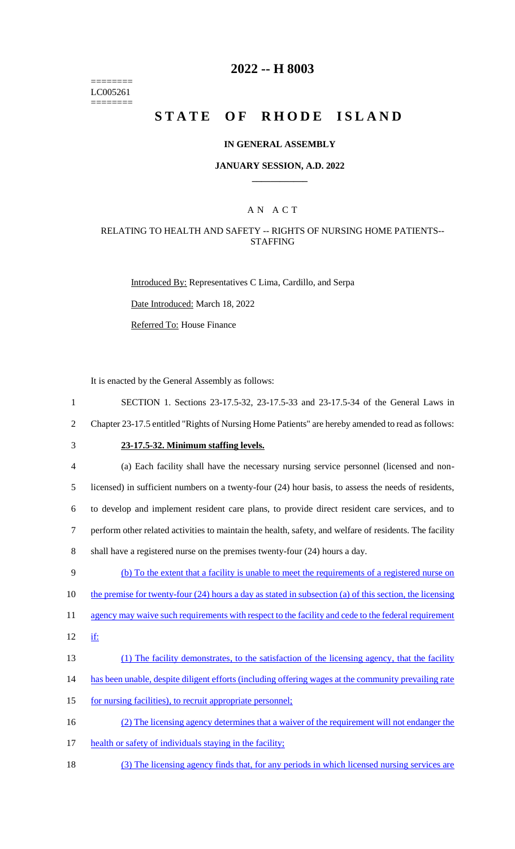======== LC005261  $=$ 

# **2022 -- H 8003**

# STATE OF RHODE ISLAND

## **IN GENERAL ASSEMBLY**

#### **JANUARY SESSION, A.D. 2022 \_\_\_\_\_\_\_\_\_\_\_\_**

## A N A C T

## RELATING TO HEALTH AND SAFETY -- RIGHTS OF NURSING HOME PATIENTS-- STAFFING

Introduced By: Representatives C Lima, Cardillo, and Serpa

Date Introduced: March 18, 2022

Referred To: House Finance

It is enacted by the General Assembly as follows:

| $\mathbf{1}$   | SECTION 1. Sections 23-17.5-32, 23-17.5-33 and 23-17.5-34 of the General Laws in                          |
|----------------|-----------------------------------------------------------------------------------------------------------|
| $\overline{2}$ | Chapter 23-17.5 entitled "Rights of Nursing Home Patients" are hereby amended to read as follows:         |
| 3              | 23-17.5-32. Minimum staffing levels.                                                                      |
| 4              | (a) Each facility shall have the necessary nursing service personnel (licensed and non-                   |
| 5              | licensed) in sufficient numbers on a twenty-four (24) hour basis, to assess the needs of residents,       |
| 6              | to develop and implement resident care plans, to provide direct resident care services, and to            |
| 7              | perform other related activities to maintain the health, safety, and welfare of residents. The facility   |
| 8              | shall have a registered nurse on the premises twenty-four (24) hours a day.                               |
| 9              | (b) To the extent that a facility is unable to meet the requirements of a registered nurse on             |
| 10             | the premise for twenty-four $(24)$ hours a day as stated in subsection (a) of this section, the licensing |
| 11             | agency may waive such requirements with respect to the facility and cede to the federal requirement       |
| 12             | if:                                                                                                       |
| 13             | (1) The facility demonstrates, to the satisfaction of the licensing agency, that the facility             |
| 14             | has been unable, despite diligent efforts (including offering wages at the community prevailing rate      |
| 15             | for nursing facilities), to recruit appropriate personnel;                                                |
| 16             | (2) The licensing agency determines that a waiver of the requirement will not endanger the                |
| 17             | health or safety of individuals staying in the facility;                                                  |
| 18             | (3) The licensing agency finds that, for any periods in which licensed nursing services are               |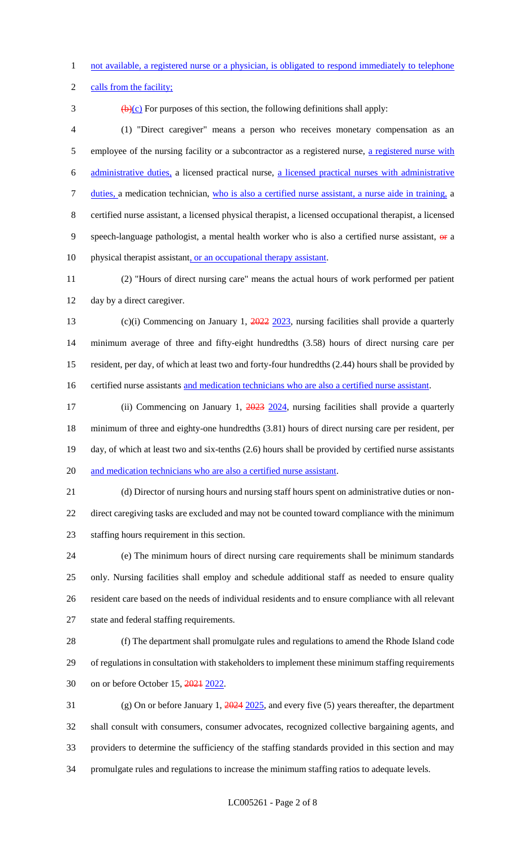not available, a registered nurse or a physician, is obligated to respond immediately to telephone

2 calls from the facility;

 $\frac{1}{2}$  (b)(c) For purposes of this section, the following definitions shall apply:

 (1) "Direct caregiver" means a person who receives monetary compensation as an 5 employee of the nursing facility or a subcontractor as a registered nurse, a registered nurse with administrative duties, a licensed practical nurse, a licensed practical nurses with administrative duties, a medication technician, who is also a certified nurse assistant, a nurse aide in training, a certified nurse assistant, a licensed physical therapist, a licensed occupational therapist, a licensed 9 speech-language pathologist, a mental health worker who is also a certified nurse assistant,  $\theta$  a 10 physical therapist assistant, or an occupational therapy assistant.

 (2) "Hours of direct nursing care" means the actual hours of work performed per patient day by a direct caregiver.

13 (c)(i) Commencing on January 1, 2022 2023, nursing facilities shall provide a quarterly minimum average of three and fifty-eight hundredths (3.58) hours of direct nursing care per resident, per day, of which at least two and forty-four hundredths (2.44) hours shall be provided by 16 certified nurse assistants and medication technicians who are also a certified nurse assistant.

17 (ii) Commencing on January 1, 2023 2024, nursing facilities shall provide a quarterly minimum of three and eighty-one hundredths (3.81) hours of direct nursing care per resident, per day, of which at least two and six-tenths (2.6) hours shall be provided by certified nurse assistants and medication technicians who are also a certified nurse assistant.

 (d) Director of nursing hours and nursing staff hours spent on administrative duties or non- direct caregiving tasks are excluded and may not be counted toward compliance with the minimum staffing hours requirement in this section.

 (e) The minimum hours of direct nursing care requirements shall be minimum standards only. Nursing facilities shall employ and schedule additional staff as needed to ensure quality resident care based on the needs of individual residents and to ensure compliance with all relevant state and federal staffing requirements.

 (f) The department shall promulgate rules and regulations to amend the Rhode Island code of regulations in consultation with stakeholders to implement these minimum staffing requirements on or before October 15, 2021 2022.

 (g) On or before January 1, 2024 2025, and every five (5) years thereafter, the department shall consult with consumers, consumer advocates, recognized collective bargaining agents, and providers to determine the sufficiency of the staffing standards provided in this section and may promulgate rules and regulations to increase the minimum staffing ratios to adequate levels.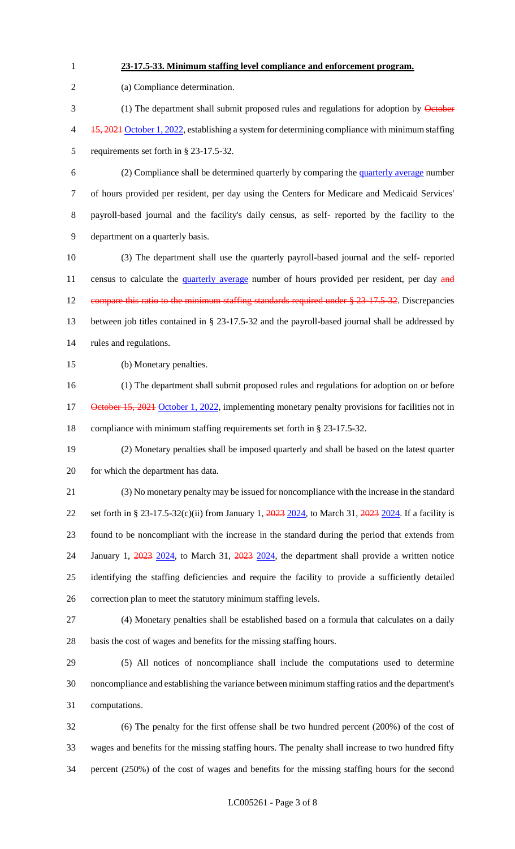**23-17.5-33. Minimum staffing level compliance and enforcement program.**

 (a) Compliance determination. 3 (1) The department shall submit proposed rules and regulations for adoption by October 4 15, 2021 October 1, 2022, establishing a system for determining compliance with minimum staffing requirements set forth in § 23-17.5-32. (2) Compliance shall be determined quarterly by comparing the quarterly average number of hours provided per resident, per day using the Centers for Medicare and Medicaid Services' payroll-based journal and the facility's daily census, as self- reported by the facility to the department on a quarterly basis. (3) The department shall use the quarterly payroll-based journal and the self- reported 11 census to calculate the quarterly average number of hours provided per resident, per day and 12 compare this ratio to the minimum staffing standards required under § 23-17.5-32. Discrepancies between job titles contained in § 23-17.5-32 and the payroll-based journal shall be addressed by rules and regulations. (b) Monetary penalties. (1) The department shall submit proposed rules and regulations for adoption on or before 17 October 15, 2021 October 1, 2022, implementing monetary penalty provisions for facilities not in compliance with minimum staffing requirements set forth in § 23-17.5-32. (2) Monetary penalties shall be imposed quarterly and shall be based on the latest quarter for which the department has data. (3) No monetary penalty may be issued for noncompliance with the increase in the standard 22 set forth in § 23-17.5-32(c)(ii) from January 1, 2023 2024, to March 31, 2023 2024. If a facility is found to be noncompliant with the increase in the standard during the period that extends from 24 January 1, 2023 2024, to March 31, 2023 2024, the department shall provide a written notice identifying the staffing deficiencies and require the facility to provide a sufficiently detailed correction plan to meet the statutory minimum staffing levels. (4) Monetary penalties shall be established based on a formula that calculates on a daily basis the cost of wages and benefits for the missing staffing hours. (5) All notices of noncompliance shall include the computations used to determine noncompliance and establishing the variance between minimum staffing ratios and the department's computations. (6) The penalty for the first offense shall be two hundred percent (200%) of the cost of wages and benefits for the missing staffing hours. The penalty shall increase to two hundred fifty percent (250%) of the cost of wages and benefits for the missing staffing hours for the second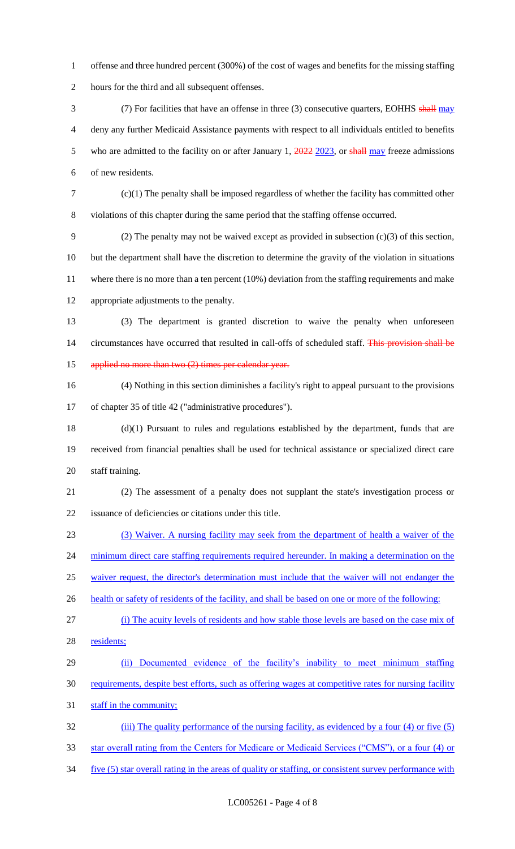- offense and three hundred percent (300%) of the cost of wages and benefits for the missing staffing hours for the third and all subsequent offenses.
- 3 (7) For facilities that have an offense in three (3) consecutive quarters, EOHHS shall may deny any further Medicaid Assistance payments with respect to all individuals entitled to benefits 5 who are admitted to the facility on or after January 1, 2022 2023, or shall may freeze admissions of new residents.
- 

 (c)(1) The penalty shall be imposed regardless of whether the facility has committed other violations of this chapter during the same period that the staffing offense occurred.

 (2) The penalty may not be waived except as provided in subsection (c)(3) of this section, but the department shall have the discretion to determine the gravity of the violation in situations where there is no more than a ten percent (10%) deviation from the staffing requirements and make appropriate adjustments to the penalty.

 (3) The department is granted discretion to waive the penalty when unforeseen 14 circumstances have occurred that resulted in call-offs of scheduled staff. This provision shall be 15 applied no more than two (2) times per calendar year.

 (4) Nothing in this section diminishes a facility's right to appeal pursuant to the provisions of chapter 35 of title 42 ("administrative procedures").

 (d)(1) Pursuant to rules and regulations established by the department, funds that are received from financial penalties shall be used for technical assistance or specialized direct care staff training.

 (2) The assessment of a penalty does not supplant the state's investigation process or issuance of deficiencies or citations under this title.

 (3) Waiver. A nursing facility may seek from the department of health a waiver of the 24 minimum direct care staffing requirements required hereunder. In making a determination on the

waiver request, the director's determination must include that the waiver will not endanger the

26 health or safety of residents of the facility, and shall be based on one or more of the following:

- (i) The acuity levels of residents and how stable those levels are based on the case mix of 28 residents;
- 29 (ii) Documented evidence of the facility's inability to meet minimum staffing requirements, despite best efforts, such as offering wages at competitive rates for nursing facility 31 staff in the community;

 (iii) The quality performance of the nursing facility, as evidenced by a four (4) or five (5) star overall rating from the Centers for Medicare or Medicaid Services ("CMS"), or a four (4) or

34 five (5) star overall rating in the areas of quality or staffing, or consistent survey performance with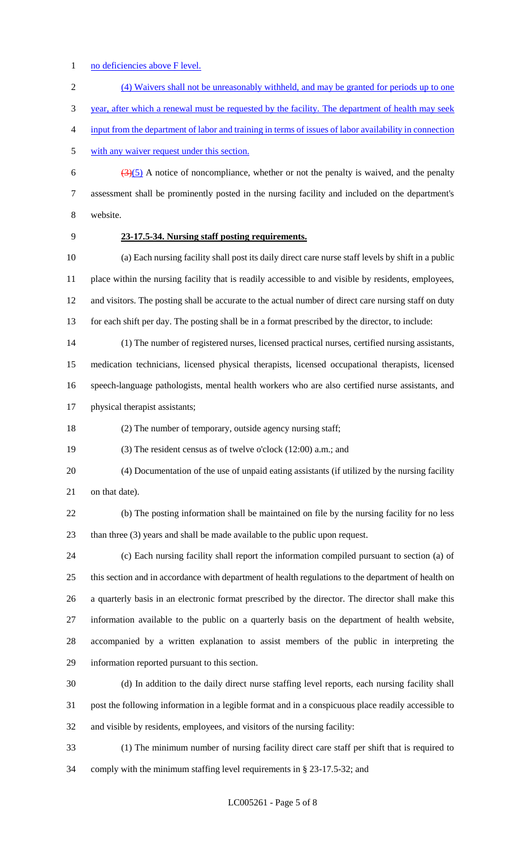- 1 no deficiencies above F level.
- (4) Waivers shall not be unreasonably withheld, and may be granted for periods up to one

year, after which a renewal must be requested by the facility. The department of health may seek

- input from the department of labor and training in terms of issues of labor availability in connection
- with any waiver request under this section.

6  $\left(\frac{3(5)}{2}\right)$  A notice of noncompliance, whether or not the penalty is waived, and the penalty assessment shall be prominently posted in the nursing facility and included on the department's website.

### **23-17.5-34. Nursing staff posting requirements.**

 (a) Each nursing facility shall post its daily direct care nurse staff levels by shift in a public place within the nursing facility that is readily accessible to and visible by residents, employees, 12 and visitors. The posting shall be accurate to the actual number of direct care nursing staff on duty for each shift per day. The posting shall be in a format prescribed by the director, to include:

 (1) The number of registered nurses, licensed practical nurses, certified nursing assistants, medication technicians, licensed physical therapists, licensed occupational therapists, licensed speech-language pathologists, mental health workers who are also certified nurse assistants, and

physical therapist assistants;

(2) The number of temporary, outside agency nursing staff;

(3) The resident census as of twelve o'clock (12:00) a.m.; and

 (4) Documentation of the use of unpaid eating assistants (if utilized by the nursing facility 21 on that date).

 (b) The posting information shall be maintained on file by the nursing facility for no less than three (3) years and shall be made available to the public upon request.

 (c) Each nursing facility shall report the information compiled pursuant to section (a) of this section and in accordance with department of health regulations to the department of health on a quarterly basis in an electronic format prescribed by the director. The director shall make this information available to the public on a quarterly basis on the department of health website, accompanied by a written explanation to assist members of the public in interpreting the information reported pursuant to this section.

 (d) In addition to the daily direct nurse staffing level reports, each nursing facility shall post the following information in a legible format and in a conspicuous place readily accessible to and visible by residents, employees, and visitors of the nursing facility:

 (1) The minimum number of nursing facility direct care staff per shift that is required to comply with the minimum staffing level requirements in § 23-17.5-32; and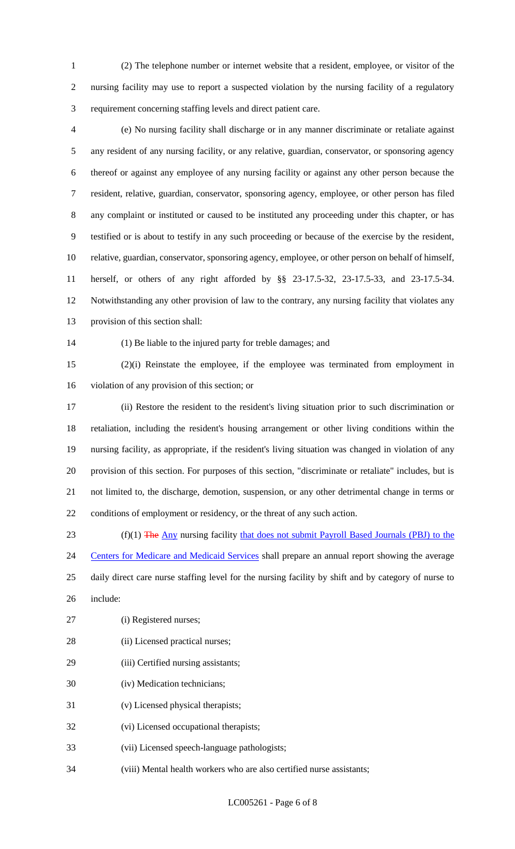(2) The telephone number or internet website that a resident, employee, or visitor of the nursing facility may use to report a suspected violation by the nursing facility of a regulatory requirement concerning staffing levels and direct patient care.

- (e) No nursing facility shall discharge or in any manner discriminate or retaliate against any resident of any nursing facility, or any relative, guardian, conservator, or sponsoring agency thereof or against any employee of any nursing facility or against any other person because the resident, relative, guardian, conservator, sponsoring agency, employee, or other person has filed any complaint or instituted or caused to be instituted any proceeding under this chapter, or has testified or is about to testify in any such proceeding or because of the exercise by the resident, relative, guardian, conservator, sponsoring agency, employee, or other person on behalf of himself, herself, or others of any right afforded by §§ 23-17.5-32, 23-17.5-33, and 23-17.5-34. Notwithstanding any other provision of law to the contrary, any nursing facility that violates any provision of this section shall:
- (1) Be liable to the injured party for treble damages; and

 (2)(i) Reinstate the employee, if the employee was terminated from employment in violation of any provision of this section; or

 (ii) Restore the resident to the resident's living situation prior to such discrimination or retaliation, including the resident's housing arrangement or other living conditions within the nursing facility, as appropriate, if the resident's living situation was changed in violation of any provision of this section. For purposes of this section, "discriminate or retaliate" includes, but is not limited to, the discharge, demotion, suspension, or any other detrimental change in terms or conditions of employment or residency, or the threat of any such action.

23 (f)(1) The Any nursing facility that does not submit Payroll Based Journals (PBJ) to the 24 Centers for Medicare and Medicaid Services shall prepare an annual report showing the average daily direct care nurse staffing level for the nursing facility by shift and by category of nurse to include:

- (i) Registered nurses;
- 28 (ii) Licensed practical nurses;
- 29 (iii) Certified nursing assistants;
- (iv) Medication technicians;
- (v) Licensed physical therapists;
- (vi) Licensed occupational therapists;
- (vii) Licensed speech-language pathologists;
- (viii) Mental health workers who are also certified nurse assistants;

LC005261 - Page 6 of 8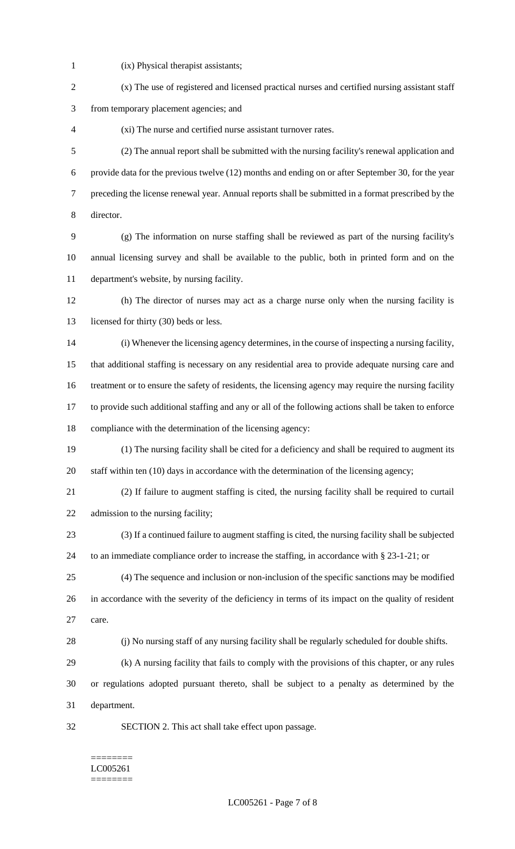- 
- (ix) Physical therapist assistants;
- (x) The use of registered and licensed practical nurses and certified nursing assistant staff from temporary placement agencies; and (xi) The nurse and certified nurse assistant turnover rates.
- (2) The annual report shall be submitted with the nursing facility's renewal application and provide data for the previous twelve (12) months and ending on or after September 30, for the year preceding the license renewal year. Annual reports shall be submitted in a format prescribed by the director.
- (g) The information on nurse staffing shall be reviewed as part of the nursing facility's annual licensing survey and shall be available to the public, both in printed form and on the department's website, by nursing facility.
- (h) The director of nurses may act as a charge nurse only when the nursing facility is 13 licensed for thirty (30) beds or less.
- (i) Whenever the licensing agency determines, in the course of inspecting a nursing facility, that additional staffing is necessary on any residential area to provide adequate nursing care and treatment or to ensure the safety of residents, the licensing agency may require the nursing facility to provide such additional staffing and any or all of the following actions shall be taken to enforce compliance with the determination of the licensing agency:
- (1) The nursing facility shall be cited for a deficiency and shall be required to augment its staff within ten (10) days in accordance with the determination of the licensing agency;
- (2) If failure to augment staffing is cited, the nursing facility shall be required to curtail admission to the nursing facility;
- (3) If a continued failure to augment staffing is cited, the nursing facility shall be subjected to an immediate compliance order to increase the staffing, in accordance with § 23-1-21; or
- (4) The sequence and inclusion or non-inclusion of the specific sanctions may be modified in accordance with the severity of the deficiency in terms of its impact on the quality of resident care.
- (j) No nursing staff of any nursing facility shall be regularly scheduled for double shifts.
- (k) A nursing facility that fails to comply with the provisions of this chapter, or any rules or regulations adopted pursuant thereto, shall be subject to a penalty as determined by the
- department.
- 
- SECTION 2. This act shall take effect upon passage.

#### ======== LC005261 ========